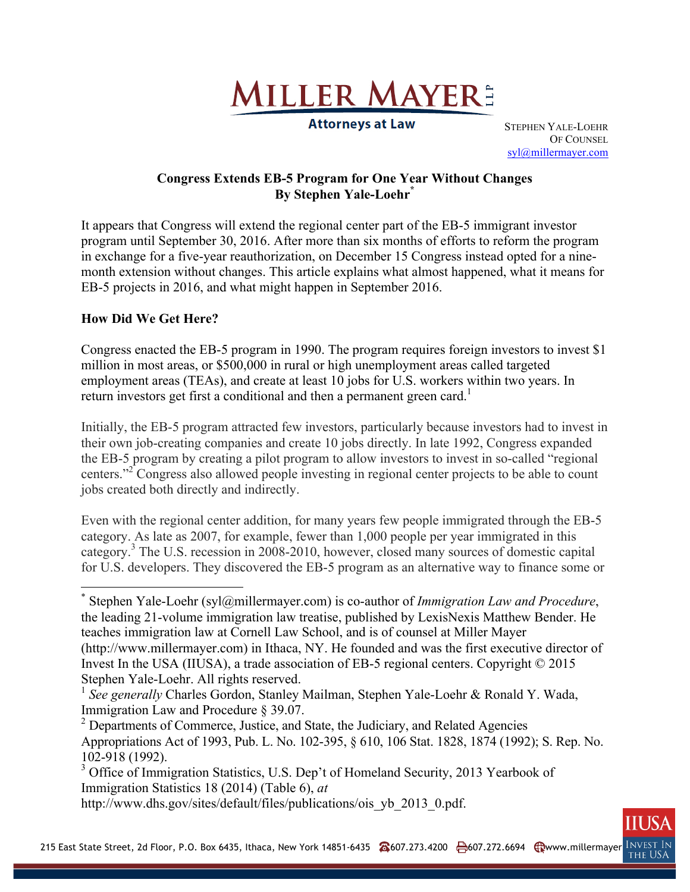

**Attorneys at Law** 

STEPHEN YALE-LOEHR OF COUNSEL syl@millermayer.com

## **Congress Extends EB-5 Program for One Year Without Changes By Stephen Yale-Loehr\***

It appears that Congress will extend the regional center part of the EB-5 immigrant investor program until September 30, 2016. After more than six months of efforts to reform the program in exchange for a five-year reauthorization, on December 15 Congress instead opted for a ninemonth extension without changes. This article explains what almost happened, what it means for EB-5 projects in 2016, and what might happen in September 2016.

## **How Did We Get Here?**

<u>.</u>

Congress enacted the EB-5 program in 1990. The program requires foreign investors to invest \$1 million in most areas, or \$500,000 in rural or high unemployment areas called targeted employment areas (TEAs), and create at least 10 jobs for U.S. workers within two years. In return investors get first a conditional and then a permanent green card.<sup>1</sup>

Initially, the EB-5 program attracted few investors, particularly because investors had to invest in their own job-creating companies and create 10 jobs directly. In late 1992, Congress expanded the EB-5 program by creating a pilot program to allow investors to invest in so-called "regional centers."<sup>2</sup> Congress also allowed people investing in regional center projects to be able to count jobs created both directly and indirectly.

Even with the regional center addition, for many years few people immigrated through the EB-5 category. As late as 2007, for example, fewer than 1,000 people per year immigrated in this category.<sup>3</sup> The U.S. recession in 2008-2010, however, closed many sources of domestic capital for U.S. developers. They discovered the EB-5 program as an alternative way to finance some or

<sup>\*</sup> Stephen Yale-Loehr (syl@millermayer.com) is co-author of *Immigration Law and Procedure*, the leading 21-volume immigration law treatise, published by LexisNexis Matthew Bender. He teaches immigration law at Cornell Law School, and is of counsel at Miller Mayer (http://www.millermayer.com) in Ithaca, NY. He founded and was the first executive director of Invest In the USA (IIUSA), a trade association of EB-5 regional centers. Copyright © 2015 Stephen Yale-Loehr. All rights reserved.

<sup>&</sup>lt;sup>1</sup> See generally Charles Gordon, Stanley Mailman, Stephen Yale-Loehr & Ronald Y. Wada, Immigration Law and Procedure § 39.07.

<sup>&</sup>lt;sup>2</sup> Departments of Commerce, Justice, and State, the Judiciary, and Related Agencies Appropriations Act of 1993, Pub. L. No. 102-395, § 610, 106 Stat. 1828, 1874 (1992); S. Rep. No. 102-918 (1992).

<sup>&</sup>lt;sup>3</sup> Office of Immigration Statistics, U.S. Dep't of Homeland Security, 2013 Yearbook of Immigration Statistics 18 (2014) (Table 6), *at*

http://www.dhs.gov/sites/default/files/publications/ois\_yb\_2013\_0.pdf.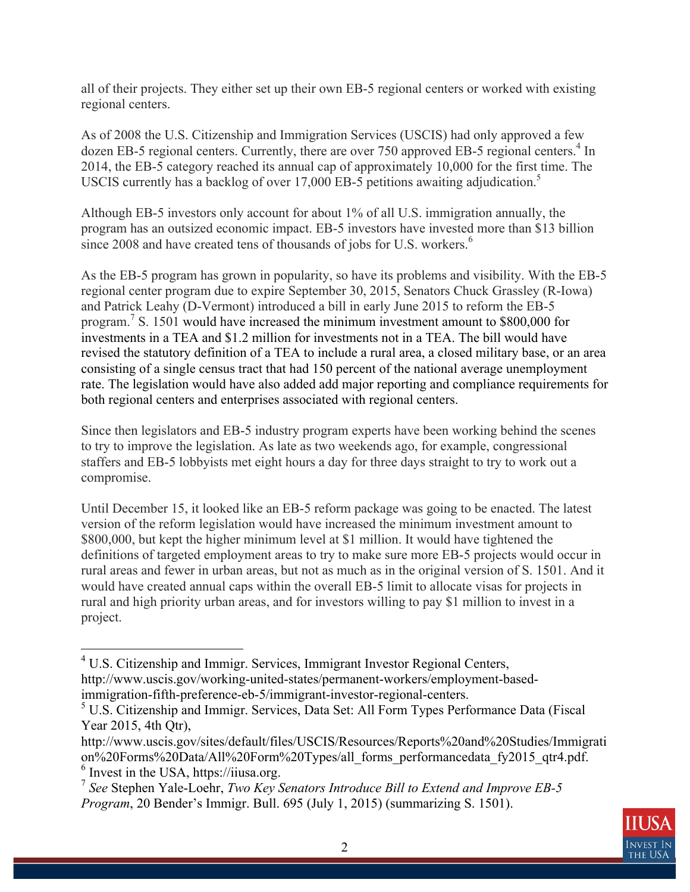all of their projects. They either set up their own EB-5 regional centers or worked with existing regional centers.

As of 2008 the U.S. Citizenship and Immigration Services (USCIS) had only approved a few dozen EB-5 regional centers. Currently, there are over 750 approved EB-5 regional centers.<sup>4</sup> In 2014, the EB-5 category reached its annual cap of approximately 10,000 for the first time. The USCIS currently has a backlog of over 17,000 EB-5 petitions awaiting adjudication.<sup>5</sup>

Although EB-5 investors only account for about 1% of all U.S. immigration annually, the program has an outsized economic impact. EB-5 investors have invested more than \$13 billion since 2008 and have created tens of thousands of jobs for U.S. workers.<sup>6</sup>

As the EB-5 program has grown in popularity, so have its problems and visibility. With the EB-5 regional center program due to expire September 30, 2015, Senators Chuck Grassley (R-Iowa) and Patrick Leahy (D-Vermont) introduced a bill in early June 2015 to reform the EB-5 program.<sup>7</sup> S. 1501 would have increased the minimum investment amount to \$800,000 for investments in a TEA and \$1.2 million for investments not in a TEA. The bill would have revised the statutory definition of a TEA to include a rural area, a closed military base, or an area consisting of a single census tract that had 150 percent of the national average unemployment rate. The legislation would have also added add major reporting and compliance requirements for both regional centers and enterprises associated with regional centers.

Since then legislators and EB-5 industry program experts have been working behind the scenes to try to improve the legislation. As late as two weekends ago, for example, congressional staffers and EB-5 lobbyists met eight hours a day for three days straight to try to work out a compromise.

Until December 15, it looked like an EB-5 reform package was going to be enacted. The latest version of the reform legislation would have increased the minimum investment amount to \$800,000, but kept the higher minimum level at \$1 million. It would have tightened the definitions of targeted employment areas to try to make sure more EB-5 projects would occur in rural areas and fewer in urban areas, but not as much as in the original version of S. 1501. And it would have created annual caps within the overall EB-5 limit to allocate visas for projects in rural and high priority urban areas, and for investors willing to pay \$1 million to invest in a project.



 4 U.S. Citizenship and Immigr. Services, Immigrant Investor Regional Centers, http://www.uscis.gov/working-united-states/permanent-workers/employment-basedimmigration-fifth-preference-eb-5/immigrant-investor-regional-centers.

<sup>&</sup>lt;sup>5</sup> U.S. Citizenship and Immigr. Services, Data Set: All Form Types Performance Data (Fiscal Year 2015, 4th Otr),

http://www.uscis.gov/sites/default/files/USCIS/Resources/Reports%20and%20Studies/Immigrati on%20Forms%20Data/All%20Form%20Types/all\_forms\_performancedata\_fy2015\_qtr4.pdf. 6 Invest in the USA, https://iiusa.org.

<sup>7</sup> *See* Stephen Yale-Loehr, *Two Key Senators Introduce Bill to Extend and Improve EB-5 Program*, 20 Bender's Immigr. Bull. 695 (July 1, 2015) (summarizing S. 1501).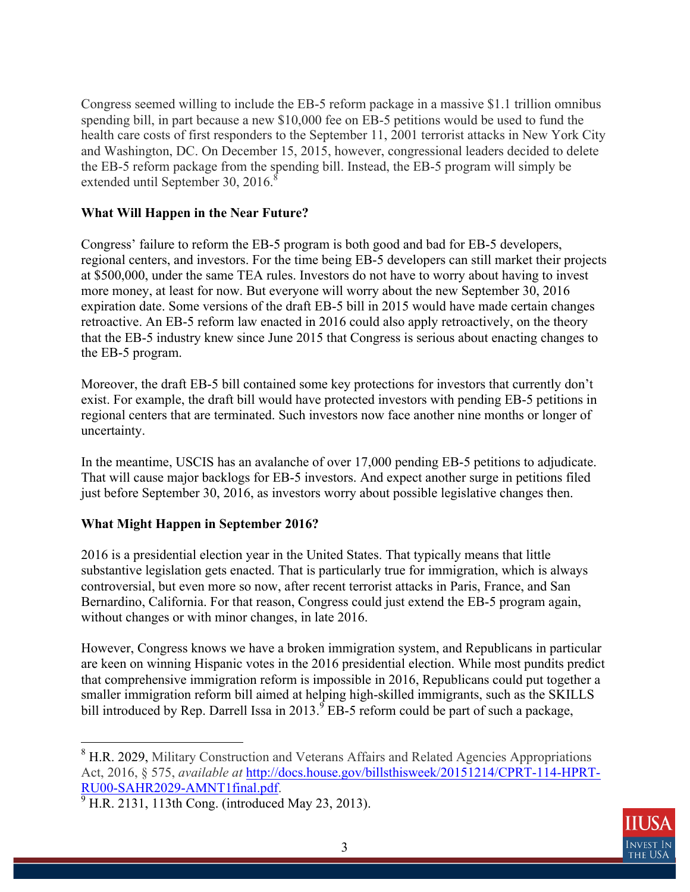Congress seemed willing to include the EB-5 reform package in a massive \$1.1 trillion omnibus spending bill, in part because a new \$10,000 fee on EB-5 petitions would be used to fund the health care costs of first responders to the September 11, 2001 terrorist attacks in New York City and Washington, DC. On December 15, 2015, however, congressional leaders decided to delete the EB-5 reform package from the spending bill. Instead, the EB-5 program will simply be extended until September 30,  $2016$ .<sup>8</sup>

## **What Will Happen in the Near Future?**

Congress' failure to reform the EB-5 program is both good and bad for EB-5 developers, regional centers, and investors. For the time being EB-5 developers can still market their projects at \$500,000, under the same TEA rules. Investors do not have to worry about having to invest more money, at least for now. But everyone will worry about the new September 30, 2016 expiration date. Some versions of the draft EB-5 bill in 2015 would have made certain changes retroactive. An EB-5 reform law enacted in 2016 could also apply retroactively, on the theory that the EB-5 industry knew since June 2015 that Congress is serious about enacting changes to the EB-5 program.

Moreover, the draft EB-5 bill contained some key protections for investors that currently don't exist. For example, the draft bill would have protected investors with pending EB-5 petitions in regional centers that are terminated. Such investors now face another nine months or longer of uncertainty.

In the meantime, USCIS has an avalanche of over 17,000 pending EB-5 petitions to adjudicate. That will cause major backlogs for EB-5 investors. And expect another surge in petitions filed just before September 30, 2016, as investors worry about possible legislative changes then.

## **What Might Happen in September 2016?**

2016 is a presidential election year in the United States. That typically means that little substantive legislation gets enacted. That is particularly true for immigration, which is always controversial, but even more so now, after recent terrorist attacks in Paris, France, and San Bernardino, California. For that reason, Congress could just extend the EB-5 program again, without changes or with minor changes, in late 2016.

However, Congress knows we have a broken immigration system, and Republicans in particular are keen on winning Hispanic votes in the 2016 presidential election. While most pundits predict that comprehensive immigration reform is impossible in 2016, Republicans could put together a smaller immigration reform bill aimed at helping high-skilled immigrants, such as the SKILLS bill introduced by Rep. Darrell Issa in 2013.  ${}^{9}$  EB-5 reform could be part of such a package,



<sup>&</sup>lt;u>.</u> <sup>8</sup> H.R. 2029, Military Construction and Veterans Affairs and Related Agencies Appropriations Act, 2016, § 575, *available at* http://docs.house.gov/billsthisweek/20151214/CPRT-114-HPRT-RU00-SAHR2029-AMNT1final.pdf.

 $\frac{9}{9}$  H.R. 2131, 113th Cong. (introduced May 23, 2013).